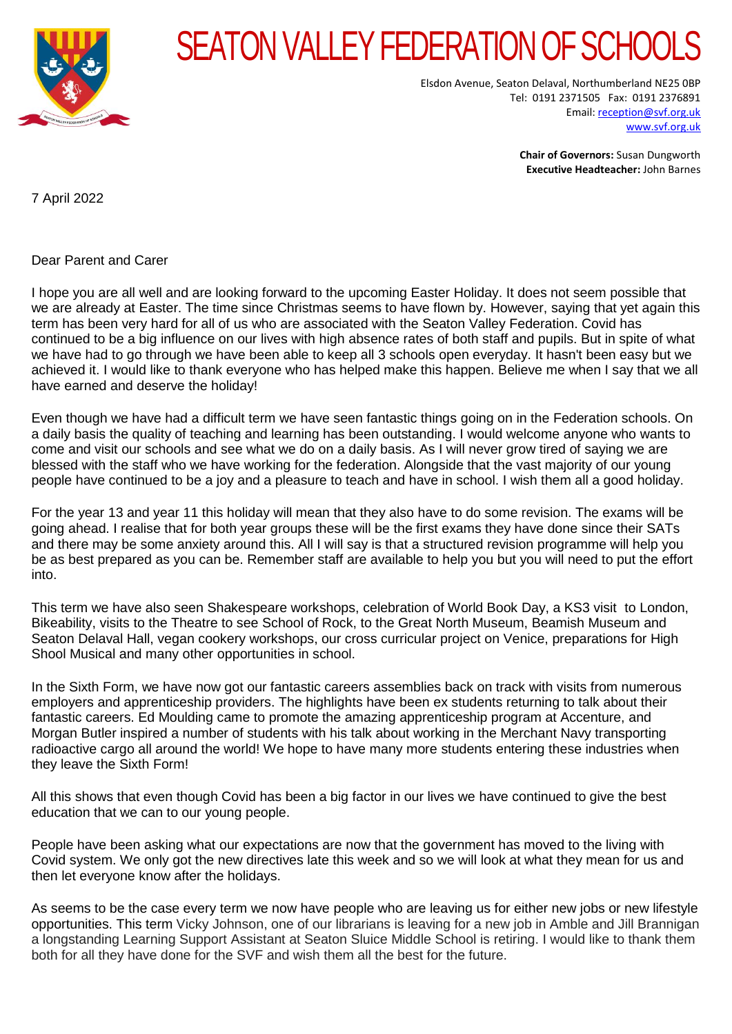

## SEATON VALLEY FEDERATION OF SCHOOL

Elsdon Avenue, Seaton Delaval, Northumberland NE25 0BP Tel: 0191 2371505 Fax: 0191 2376891 Email[: reception@svf.org.uk](mailto:reception@svf.org.uk) [www.svf.org.uk](http://www.svf.org.uk/)

> **Chair of Governors:** Susan Dungworth **Executive Headteacher:** John Barnes

7 April 2022

Dear Parent and Carer

I hope you are all well and are looking forward to the upcoming Easter Holiday. It does not seem possible that we are already at Easter. The time since Christmas seems to have flown by. However, saying that yet again this term has been very hard for all of us who are associated with the Seaton Valley Federation. Covid has continued to be a big influence on our lives with high absence rates of both staff and pupils. But in spite of what we have had to go through we have been able to keep all 3 schools open everyday. It hasn't been easy but we achieved it. I would like to thank everyone who has helped make this happen. Believe me when I say that we all have earned and deserve the holiday!

Even though we have had a difficult term we have seen fantastic things going on in the Federation schools. On a daily basis the quality of teaching and learning has been outstanding. I would welcome anyone who wants to come and visit our schools and see what we do on a daily basis. As I will never grow tired of saying we are blessed with the staff who we have working for the federation. Alongside that the vast majority of our young people have continued to be a joy and a pleasure to teach and have in school. I wish them all a good holiday.

For the year 13 and year 11 this holiday will mean that they also have to do some revision. The exams will be going ahead. I realise that for both year groups these will be the first exams they have done since their SATs and there may be some anxiety around this. All I will say is that a structured revision programme will help you be as best prepared as you can be. Remember staff are available to help you but you will need to put the effort into.

This term we have also seen Shakespeare workshops, celebration of World Book Day, a KS3 visit to London, Bikeability, visits to the Theatre to see School of Rock, to the Great North Museum, Beamish Museum and Seaton Delaval Hall, vegan cookery workshops, our cross curricular project on Venice, preparations for High Shool Musical and many other opportunities in school.

In the Sixth Form, we have now got our fantastic careers assemblies back on track with visits from numerous employers and apprenticeship providers. The highlights have been ex students returning to talk about their fantastic careers. Ed Moulding came to promote the amazing apprenticeship program at Accenture, and Morgan Butler inspired a number of students with his talk about working in the Merchant Navy transporting radioactive cargo all around the world! We hope to have many more students entering these industries when they leave the Sixth Form!

All this shows that even though Covid has been a big factor in our lives we have continued to give the best education that we can to our young people.

People have been asking what our expectations are now that the government has moved to the living with Covid system. We only got the new directives late this week and so we will look at what they mean for us and then let everyone know after the holidays.

As seems to be the case every term we now have people who are leaving us for either new jobs or new lifestyle opportunities. This term Vicky Johnson, one of our librarians is leaving for a new job in Amble and Jill Brannigan a longstanding Learning Support Assistant at Seaton Sluice Middle School is retiring. I would like to thank them both for all they have done for the SVF and wish them all the best for the future.